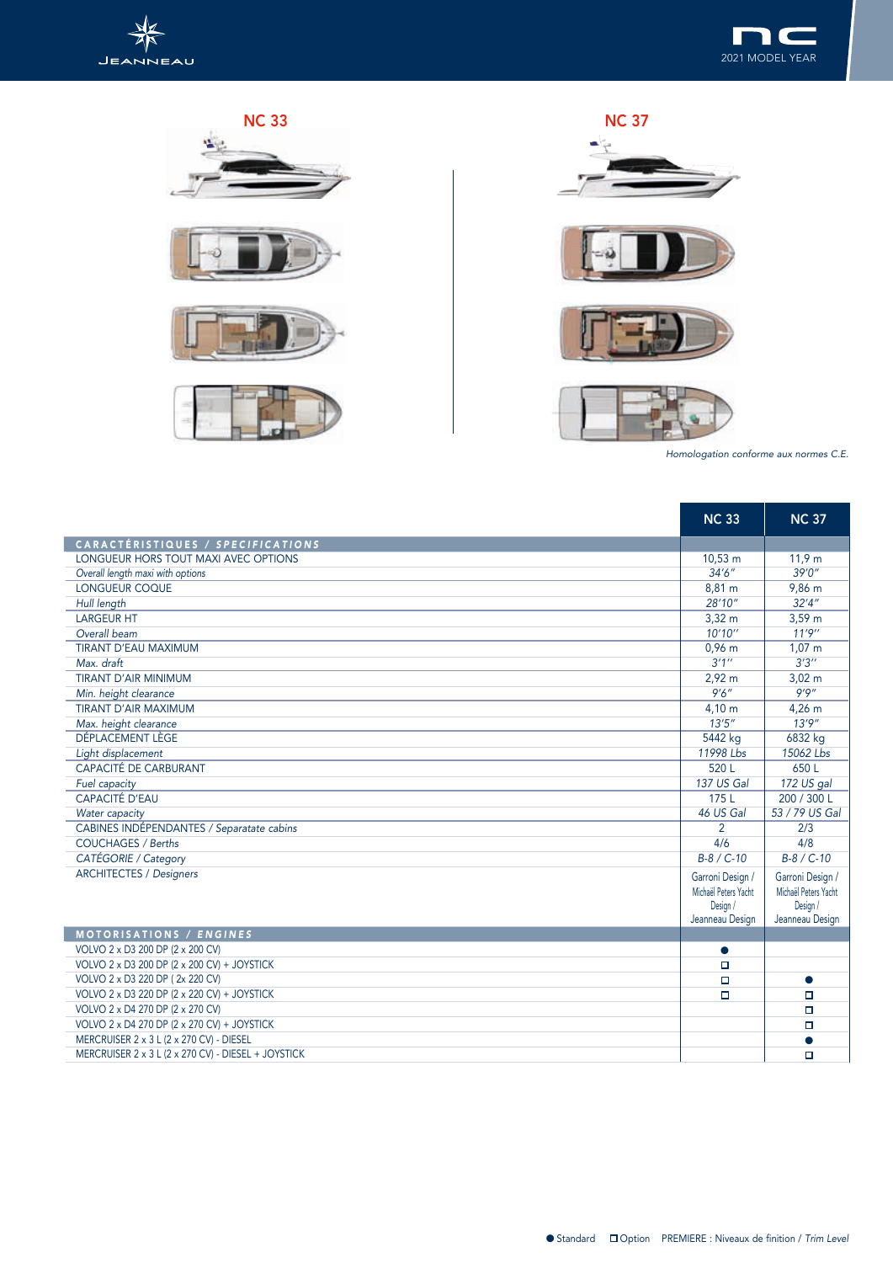











*Homologation conforme aux normes C.E.*

and the state of

|                                                     | <b>NC 33</b>                                                            | <b>NC 37</b>                                                            |
|-----------------------------------------------------|-------------------------------------------------------------------------|-------------------------------------------------------------------------|
| CARACTÉRISTIQUES / SPECIFICATIONS                   |                                                                         |                                                                         |
| LONGUEUR HORS TOUT MAXI AVEC OPTIONS                | $10,53 \; m$                                                            | 11,9 m                                                                  |
| Overall length maxi with options                    | 34'6''                                                                  | 39'0''                                                                  |
| <b>LONGUEUR COQUE</b>                               | 8,81 m                                                                  | 9,86 m                                                                  |
| Hull length                                         | 28'10''                                                                 | 32'4''                                                                  |
| <b>LARGEUR HT</b>                                   | $3,32 \, \text{m}$                                                      | $3,59 \; m$                                                             |
| Overall beam                                        | 10'10''                                                                 | 11'9''                                                                  |
| <b>TIRANT D'EAU MAXIMUM</b>                         | $0,96$ m                                                                | $1,07 \; m$                                                             |
| Max. draft                                          | 3'1''                                                                   | 3'3''                                                                   |
| <b>TIRANT D'AIR MINIMUM</b>                         | $2,92 \text{ m}$                                                        | $3,02 \; m$                                                             |
| Min. height clearance                               | 9'6''                                                                   | 9'9''                                                                   |
| <b>TIRANT D'AIR MAXIMUM</b>                         | 4,10 m                                                                  | $4,26 \; m$                                                             |
| Max. height clearance                               | 13'5''                                                                  | 13'9''                                                                  |
| DÉPLACEMENT LÈGE                                    | 5442 kg                                                                 | 6832 kg                                                                 |
| Light displacement                                  | 11998 Lbs                                                               | 15062 Lbs                                                               |
| <b>CAPACITÉ DE CARBURANT</b>                        | 520 L                                                                   | 650 L                                                                   |
| Fuel capacity                                       | 137 US Gal                                                              | 172 US gal                                                              |
| CAPACITÉ D'EAU                                      | 175L                                                                    | 200 / 300 L                                                             |
| Water capacity                                      | 46 US Gal                                                               | 53 / 79 US Gal                                                          |
| CABINES INDÉPENDANTES / Separatate cabins           | 2                                                                       | 2/3                                                                     |
| <b>COUCHAGES / Berths</b>                           | 4/6                                                                     | 4/8                                                                     |
| CATÉGORIE / Category                                | $B-8 / C-10$                                                            | $B-8 / C-10$                                                            |
| <b>ARCHITECTES / Designers</b>                      | Garroni Design /<br>Michaël Peters Yacht<br>Design /<br>Jeanneau Design | Garroni Design /<br>Michaël Peters Yacht<br>Design /<br>Jeanneau Design |
| MOTORISATIONS / ENGINES                             |                                                                         |                                                                         |
| VOLVO 2 x D3 200 DP (2 x 200 CV)                    | $\bullet$                                                               |                                                                         |
| VOLVO 2 x D3 200 DP (2 x 200 CV) + JOYSTICK         | $\Box$                                                                  |                                                                         |
| VOLVO 2 x D3 220 DP (2x 220 CV)                     | $\Box$                                                                  |                                                                         |
| VOLVO 2 x D3 220 DP (2 x 220 CV) + JOYSTICK         | $\Box$                                                                  | $\Box$                                                                  |
| VOLVO 2 x D4 270 DP (2 x 270 CV)                    |                                                                         | $\Box$                                                                  |
| VOLVO 2 x D4 270 DP (2 x 270 CV) + JOYSTICK         |                                                                         | $\Box$                                                                  |
| MERCRUISER 2 x 3 L (2 x 270 CV) - DIESEL            |                                                                         |                                                                         |
| MERCRUISER 2 x 3 L (2 x 270 CV) - DIESEL + JOYSTICK |                                                                         | $\Box$                                                                  |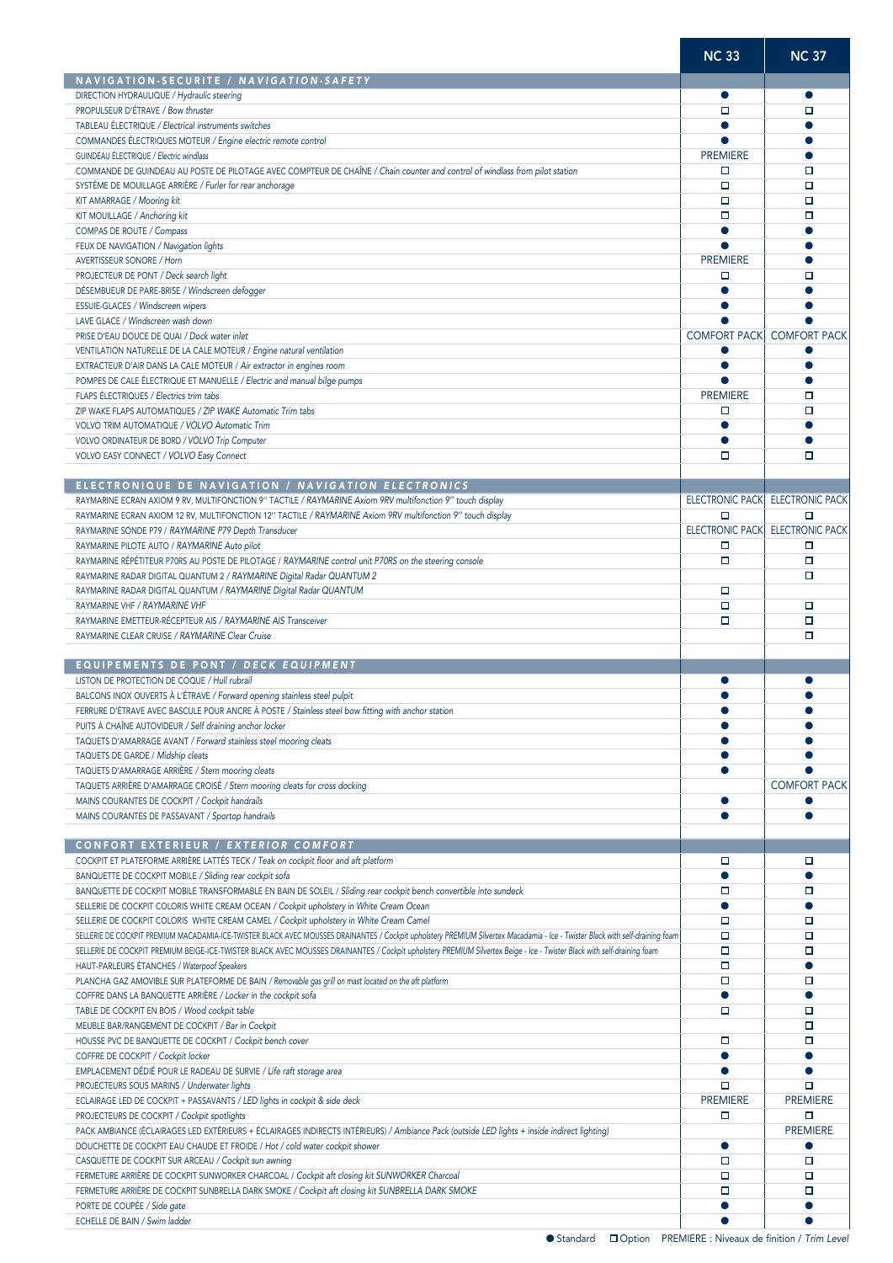|                                                                                                                                                                                                                                                                                                                                                                                                                                                                                                                                                                                                                                        | <b>NC 33</b>                     | <b>NC 37</b>                |
|----------------------------------------------------------------------------------------------------------------------------------------------------------------------------------------------------------------------------------------------------------------------------------------------------------------------------------------------------------------------------------------------------------------------------------------------------------------------------------------------------------------------------------------------------------------------------------------------------------------------------------------|----------------------------------|-----------------------------|
| NAVIGATION-SECURITE / NAVIGATION-SAFETY                                                                                                                                                                                                                                                                                                                                                                                                                                                                                                                                                                                                |                                  |                             |
| DIRECTION HYDRAULIQUE / Hydraulic steering                                                                                                                                                                                                                                                                                                                                                                                                                                                                                                                                                                                             | $\bullet$                        | $\bullet$                   |
| PROPULSEUR D'ÉTRAVE / Bow thruster                                                                                                                                                                                                                                                                                                                                                                                                                                                                                                                                                                                                     | о                                | □                           |
| TABLEAU ÉLECTRIQUE / Electrical instruments switches                                                                                                                                                                                                                                                                                                                                                                                                                                                                                                                                                                                   | $\bullet$                        |                             |
| COMMANDES ÉLECTRIQUES MOTEUR / Engine electric remote control                                                                                                                                                                                                                                                                                                                                                                                                                                                                                                                                                                          |                                  |                             |
| GUINDEAU ÉLECTRIQUE / Electric windlass                                                                                                                                                                                                                                                                                                                                                                                                                                                                                                                                                                                                | <b>PREMIERE</b>                  |                             |
| COMMANDE DE GUINDEAU AU POSTE DE PILOTAGE AVEC COMPTEUR DE CHAÎNE / Chain counter and control of windlass from pilot station                                                                                                                                                                                                                                                                                                                                                                                                                                                                                                           | □                                | о                           |
| SYSTÈME DE MOUILLAGE ARRIÈRE / Furler for rear anchorage                                                                                                                                                                                                                                                                                                                                                                                                                                                                                                                                                                               | □                                | □                           |
| KIT AMARRAGE / Mooring kit                                                                                                                                                                                                                                                                                                                                                                                                                                                                                                                                                                                                             | о                                | □                           |
| KIT MOUILLAGE / Anchoring kit                                                                                                                                                                                                                                                                                                                                                                                                                                                                                                                                                                                                          | о                                | $\Box$                      |
| COMPAS DE ROUTE / Compass                                                                                                                                                                                                                                                                                                                                                                                                                                                                                                                                                                                                              | $\bullet$                        |                             |
| FEUX DE NAVIGATION / Navigation lights                                                                                                                                                                                                                                                                                                                                                                                                                                                                                                                                                                                                 |                                  |                             |
| <b>AVERTISSEUR SONORE / Horn</b>                                                                                                                                                                                                                                                                                                                                                                                                                                                                                                                                                                                                       | <b>PREMIERE</b>                  |                             |
| PROJECTEUR DE PONT / Deck search light                                                                                                                                                                                                                                                                                                                                                                                                                                                                                                                                                                                                 | □                                | п                           |
| DÉSEMBUEUR DE PARE-BRISE / Windscreen defogger                                                                                                                                                                                                                                                                                                                                                                                                                                                                                                                                                                                         | 0                                |                             |
| ESSUIE-GLACES / Windscreen wipers                                                                                                                                                                                                                                                                                                                                                                                                                                                                                                                                                                                                      | $\bullet$                        |                             |
| LAVE GLACE / Windscreen wash down                                                                                                                                                                                                                                                                                                                                                                                                                                                                                                                                                                                                      |                                  |                             |
| PRISE D'EAU DOUCE DE QUAI / Dock water inlet                                                                                                                                                                                                                                                                                                                                                                                                                                                                                                                                                                                           | <b>COMFORT PACK</b>              | <b>COMFORT PACK</b>         |
| VENTILATION NATURELLE DE LA CALE MOTEUR / Engine natural ventilation                                                                                                                                                                                                                                                                                                                                                                                                                                                                                                                                                                   | 0                                |                             |
| EXTRACTEUR D'AIR DANS LA CALE MOTEUR / Air extractor in engines room                                                                                                                                                                                                                                                                                                                                                                                                                                                                                                                                                                   | $\bullet$                        |                             |
| POMPES DE CALE ÉLECTRIQUE ET MANUELLE / Electric and manual bilge pumps                                                                                                                                                                                                                                                                                                                                                                                                                                                                                                                                                                |                                  |                             |
| FLAPS ÉLECTRIQUES / Electrics trim tabs                                                                                                                                                                                                                                                                                                                                                                                                                                                                                                                                                                                                | <b>PREMIERE</b>                  | □                           |
| ZIP WAKE FLAPS AUTOMATIQUES / ZIP WAKE Automatic Trim tabs                                                                                                                                                                                                                                                                                                                                                                                                                                                                                                                                                                             | □                                | о                           |
| VOLVO TRIM AUTOMATIQUE / VOLVO Automatic Trim                                                                                                                                                                                                                                                                                                                                                                                                                                                                                                                                                                                          | $\bullet$                        |                             |
| VOLVO ORDINATEUR DE BORD / VOLVO Trip Computer                                                                                                                                                                                                                                                                                                                                                                                                                                                                                                                                                                                         |                                  |                             |
| VOLVO EASY CONNECT / VOLVO Easy Connect                                                                                                                                                                                                                                                                                                                                                                                                                                                                                                                                                                                                | о                                | о                           |
| ELECTRONIQUE DE NAVIGATION / NAVIGATION ELECTRONICS                                                                                                                                                                                                                                                                                                                                                                                                                                                                                                                                                                                    |                                  |                             |
|                                                                                                                                                                                                                                                                                                                                                                                                                                                                                                                                                                                                                                        |                                  |                             |
| RAYMARINE ECRAN AXIOM 9 RV, MULTIFONCTION 9" TACTILE / RAYMARINE Axiom 9RV multifonction 9" touch display                                                                                                                                                                                                                                                                                                                                                                                                                                                                                                                              | <b>ELECTRONIC PACK</b><br>$\Box$ | <b>ELECTRONIC PACK</b><br>□ |
| RAYMARINE ECRAN AXIOM 12 RV, MULTIFONCTION 12" TACTILE / RAYMARINE Axiom 9RV multifonction 9" touch display                                                                                                                                                                                                                                                                                                                                                                                                                                                                                                                            | <b>ELECTRONIC PACK</b>           | <b>ELECTRONIC PACK</b>      |
| RAYMARINE SONDE P79 / RAYMARINE P79 Depth Transducer                                                                                                                                                                                                                                                                                                                                                                                                                                                                                                                                                                                   | о                                | □                           |
| RAYMARINE PILOTE AUTO / RAYMARINE Auto pilot                                                                                                                                                                                                                                                                                                                                                                                                                                                                                                                                                                                           | $\Box$                           | □                           |
| RAYMARINE RÉPÉTITEUR P70RS AU POSTE DE PILOTAGE / RAYMARINE control unit P70RS on the steering console<br>RAYMARINE RADAR DIGITAL QUANTUM 2 / RAYMARINE Digital Radar QUANTUM 2                                                                                                                                                                                                                                                                                                                                                                                                                                                        |                                  | $\Box$                      |
|                                                                                                                                                                                                                                                                                                                                                                                                                                                                                                                                                                                                                                        | о                                |                             |
| RAYMARINE RADAR DIGITAL QUANTUM / RAYMARINE Digital Radar QUANTUM<br>RAYMARINE VHF / RAYMARINE VHF                                                                                                                                                                                                                                                                                                                                                                                                                                                                                                                                     | о                                | □                           |
| RAYMARINE EMETTEUR-RÉCEPTEUR AIS / RAYMARINE AIS Transceiver                                                                                                                                                                                                                                                                                                                                                                                                                                                                                                                                                                           | о                                | $\Box$                      |
| RAYMARINE CLEAR CRUISE / RAYMARINE Clear Cruise                                                                                                                                                                                                                                                                                                                                                                                                                                                                                                                                                                                        |                                  | о                           |
| EQUIPEMENTS DE PONT / DECK EQUIPMENT<br>LISTON DE PROTECTION DE COQUE / Hull rubrail<br>BALCONS INOX OUVERTS À L'ÉTRAVE / Forward opening stainless steel pulpit                                                                                                                                                                                                                                                                                                                                                                                                                                                                       |                                  |                             |
| FERRURE D'ÉTRAVE AVEC BASCULE POUR ANCRE À POSTE / Stainless steel bow fitting with anchor station                                                                                                                                                                                                                                                                                                                                                                                                                                                                                                                                     |                                  |                             |
| PUITS À CHAÎNE AUTOVIDEUR / Self draining anchor locker                                                                                                                                                                                                                                                                                                                                                                                                                                                                                                                                                                                |                                  |                             |
| TAQUETS D'AMARRAGE AVANT / Forward stainless steel mooring cleats                                                                                                                                                                                                                                                                                                                                                                                                                                                                                                                                                                      |                                  |                             |
| TAQUETS DE GARDE / Midship cleats                                                                                                                                                                                                                                                                                                                                                                                                                                                                                                                                                                                                      |                                  |                             |
| TAQUETS D'AMARRAGE ARRIÈRE / Stern mooring cleats                                                                                                                                                                                                                                                                                                                                                                                                                                                                                                                                                                                      | ●                                |                             |
| TAQUETS ARRIÈRE D'AMARRAGE CROISÉ / Stern mooring cleats for cross docking                                                                                                                                                                                                                                                                                                                                                                                                                                                                                                                                                             |                                  | <b>COMFORT PACK</b>         |
| MAINS COURANTES DE COCKPIT / Cockpit handrails                                                                                                                                                                                                                                                                                                                                                                                                                                                                                                                                                                                         |                                  |                             |
| MAINS COURANTES DE PASSAVANT / Sportop handrails                                                                                                                                                                                                                                                                                                                                                                                                                                                                                                                                                                                       |                                  |                             |
|                                                                                                                                                                                                                                                                                                                                                                                                                                                                                                                                                                                                                                        |                                  |                             |
| CONFORT EXTERIEUR / EXTERIOR COMFORT                                                                                                                                                                                                                                                                                                                                                                                                                                                                                                                                                                                                   |                                  |                             |
| COCKPIT ET PLATEFORME ARRIÈRE LATTÉS TECK / Teak on cockpit floor and aft platform                                                                                                                                                                                                                                                                                                                                                                                                                                                                                                                                                     | о                                | □                           |
| BANQUETTE DE COCKPIT MOBILE / Sliding rear cockpit sofa                                                                                                                                                                                                                                                                                                                                                                                                                                                                                                                                                                                | $\bullet$                        |                             |
| BANQUETTE DE COCKPIT MOBILE TRANSFORMABLE EN BAIN DE SOLEIL / Sliding rear cockpit bench convertible into sundeck                                                                                                                                                                                                                                                                                                                                                                                                                                                                                                                      | □                                | □                           |
| SELLERIE DE COCKPIT COLORIS WHITE CREAM OCEAN / Cockpit upholstery in White Cream Ocean                                                                                                                                                                                                                                                                                                                                                                                                                                                                                                                                                | $\bullet$                        | $\bullet$                   |
| SELLERIE DE COCKPIT COLORIS WHITE CREAM CAMEL / Cockpit upholstery in White Cream Camel                                                                                                                                                                                                                                                                                                                                                                                                                                                                                                                                                | о                                | □                           |
| SELLERIE DE COCKPIT PREMIUM MACADAMIA-ICE-TWISTER BLACK AVEC MOUSSES DRAINANTES / Cockpit upholstery PREMIUM Silvertex Macadamia - Ice - Twister Black with self-draining foam                                                                                                                                                                                                                                                                                                                                                                                                                                                         | о                                | □                           |
| SELLERIE DE COCKPIT PREMIUM BEIGE-ICE-TWISTER BLACK AVEC MOUSSES DRAINANTES / Cockpit upholstery PREMIUM Silvertex Beige - Ice - Twister Black with self-draining foam                                                                                                                                                                                                                                                                                                                                                                                                                                                                 | $\Box$                           | □                           |
| HAUT-PARLEURS ÉTANCHES / Waterpoof Speakers                                                                                                                                                                                                                                                                                                                                                                                                                                                                                                                                                                                            | о                                | ●                           |
| PLANCHA GAZ AMOVIBLE SUR PLATEFORME DE BAIN / Removable gas grill on mast located on the aft platform                                                                                                                                                                                                                                                                                                                                                                                                                                                                                                                                  | о                                | □                           |
| COFFRE DANS LA BANQUETTE ARRIÈRE / Locker in the cockpit sofa                                                                                                                                                                                                                                                                                                                                                                                                                                                                                                                                                                          | $\bullet$                        | $\bullet$                   |
| TABLE DE COCKPIT EN BOIS / Wood cockpit table                                                                                                                                                                                                                                                                                                                                                                                                                                                                                                                                                                                          | о                                | □                           |
| MEUBLE BAR/RANGEMENT DE COCKPIT / Bar in Cockpit                                                                                                                                                                                                                                                                                                                                                                                                                                                                                                                                                                                       |                                  | □                           |
|                                                                                                                                                                                                                                                                                                                                                                                                                                                                                                                                                                                                                                        |                                  | □                           |
|                                                                                                                                                                                                                                                                                                                                                                                                                                                                                                                                                                                                                                        | о                                |                             |
|                                                                                                                                                                                                                                                                                                                                                                                                                                                                                                                                                                                                                                        | O                                |                             |
|                                                                                                                                                                                                                                                                                                                                                                                                                                                                                                                                                                                                                                        |                                  |                             |
|                                                                                                                                                                                                                                                                                                                                                                                                                                                                                                                                                                                                                                        | $\Box$                           | □                           |
|                                                                                                                                                                                                                                                                                                                                                                                                                                                                                                                                                                                                                                        | <b>PREMIERE</b>                  | <b>PREMIERE</b>             |
|                                                                                                                                                                                                                                                                                                                                                                                                                                                                                                                                                                                                                                        | о                                | □                           |
|                                                                                                                                                                                                                                                                                                                                                                                                                                                                                                                                                                                                                                        |                                  | <b>PREMIERE</b>             |
|                                                                                                                                                                                                                                                                                                                                                                                                                                                                                                                                                                                                                                        | $\bullet$                        |                             |
| HOUSSE PVC DE BANQUETTE DE COCKPIT / Cockpit bench cover<br>COFFRE DE COCKPIT / Cockpit locker<br>EMPLACEMENT DÉDIÉ POUR LE RADEAU DE SURVIE / Life raft storage area<br>PROJECTEURS SOUS MARINS / Underwater lights<br>ECLAIRAGE LED DE COCKPIT + PASSAVANTS / LED lights in cockpit & side deck<br>PROJECTEURS DE COCKPIT / Cockpit spotlights<br>PACK AMBIANCE (ÉCLAIRAGES LED EXTÉRIEURS + ÉCLAIRAGES INDIRECTS INTÉRIEURS) / Ambiance Pack (outside LED lights + inside indirect lighting)<br>DOUCHETTE DE COCKPIT EAU CHAUDE ET FROIDE / Hot / cold water cockpit shower<br>CASQUETTE DE COCKPIT SUR ARCEAU / Cockpit sun awning | □                                | ▫                           |
| FERMETURE ARRIÈRE DE COCKPIT SUNWORKER CHARCOAL / Cockpit aft closing kit SUNWORKER Charcoal                                                                                                                                                                                                                                                                                                                                                                                                                                                                                                                                           | о                                | $\Box$                      |
| FERMETURE ARRIÈRE DE COCKPIT SUNBRELLA DARK SMOKE / Cockpit aft closing kit SUNBRELLA DARK SMOKE                                                                                                                                                                                                                                                                                                                                                                                                                                                                                                                                       | □                                | □                           |
| PORTE DE COUPÉE / Side gate                                                                                                                                                                                                                                                                                                                                                                                                                                                                                                                                                                                                            |                                  |                             |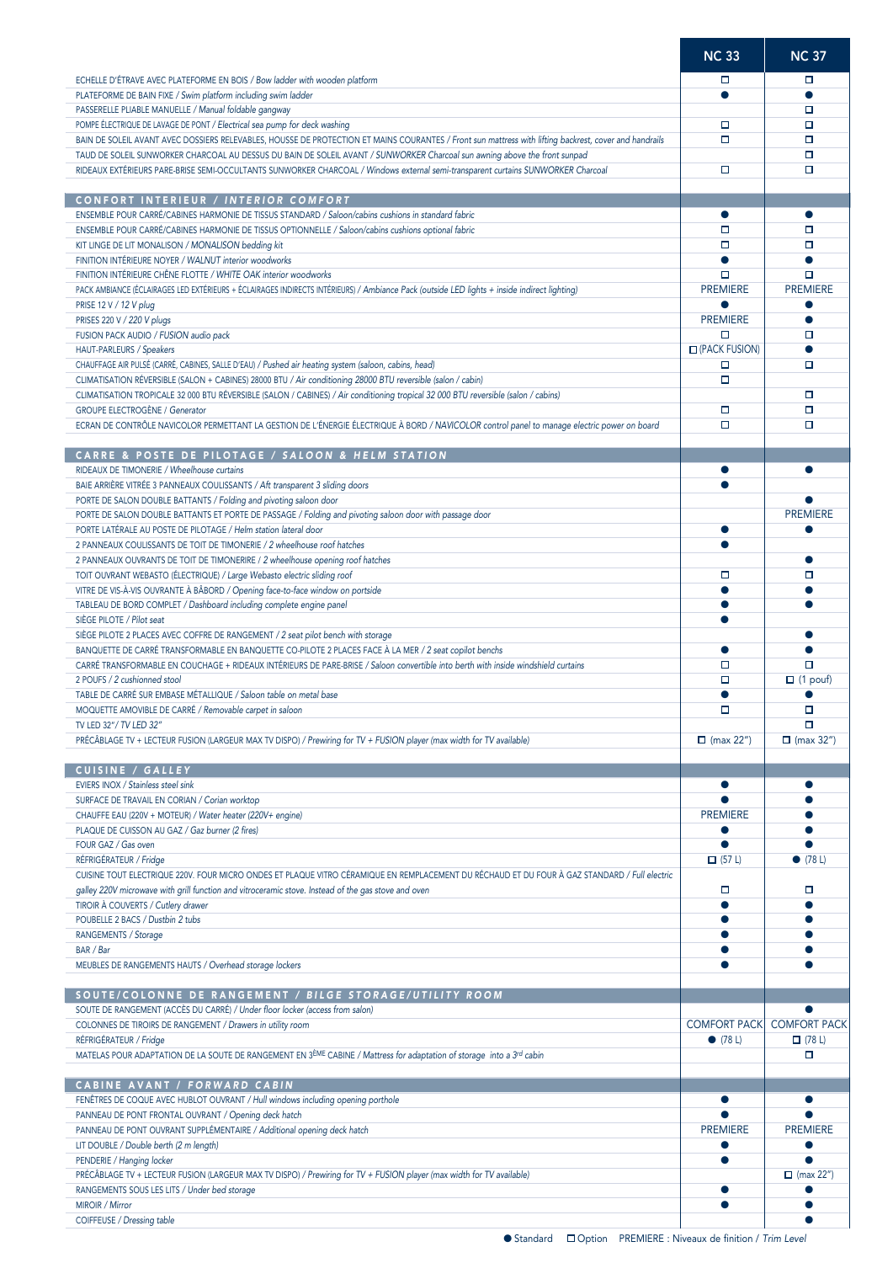|                                                                                                                                                                                                                                                                                      | <b>NC 33</b>                  | <b>NC 37</b>                         |
|--------------------------------------------------------------------------------------------------------------------------------------------------------------------------------------------------------------------------------------------------------------------------------------|-------------------------------|--------------------------------------|
| ECHELLE D'ÉTRAVE AVEC PLATEFORME EN BOIS / Bow ladder with wooden platform                                                                                                                                                                                                           | □                             | □                                    |
| PLATEFORME DE BAIN FIXE / Swim platform including swim ladder                                                                                                                                                                                                                        |                               | $\bullet$                            |
| PASSERELLE PLIABLE MANUELLE / Manual foldable gangway                                                                                                                                                                                                                                |                               | □                                    |
| POMPE ÉLECTRIQUE DE LAVAGE DE PONT / Electrical sea pump for deck washing                                                                                                                                                                                                            | □                             | □                                    |
| BAIN DE SOLEIL AVANT AVEC DOSSIERS RELEVABLES, HOUSSE DE PROTECTION ET MAINS COURANTES / Front sun mattress with lifting backrest, cover and handrails<br>TAUD DE SOLEIL SUNWORKER CHARCOAL AU DESSUS DU BAIN DE SOLEIL AVANT / SUNWORKER Charcoal sun awning above the front sunpad | $\Box$                        | $\Box$<br>□                          |
| RIDEAUX EXTÉRIEURS PARE-BRISE SEMI-OCCULTANTS SUNWORKER CHARCOAL / Windows external semi-transparent curtains SUNWORKER Charcoal                                                                                                                                                     | о                             | П                                    |
|                                                                                                                                                                                                                                                                                      |                               |                                      |
| <b>CONFORT INTERIEUR / INTERIOR COMFORT</b>                                                                                                                                                                                                                                          |                               |                                      |
| ENSEMBLE POUR CARRÉ/CABINES HARMONIE DE TISSUS STANDARD / Saloon/cabins cushions in standard fabric                                                                                                                                                                                  | $\bullet$                     | $\bullet$                            |
| ENSEMBLE POUR CARRÉ/CABINES HARMONIE DE TISSUS OPTIONNELLE / Saloon/cabins cushions optional fabric                                                                                                                                                                                  | о                             | □                                    |
| KIT LINGE DE LIT MONALISON / MONALISON bedding kit<br>FINITION INTÉRIEURE NOYER / WALNUT interior woodworks                                                                                                                                                                          | □                             | □                                    |
| FINITION INTÉRIEURE CHÊNE FLOTTE / WHITE OAK interior woodworks                                                                                                                                                                                                                      | $\Box$                        | $\Box$                               |
| PACK AMBIANCE (ÉCLAIRAGES LED EXTÉRIEURS + ÉCLAIRAGES INDIRECTS INTÉRIEURS) / Ambiance Pack (outside LED lights + inside indirect lighting)                                                                                                                                          | <b>PREMIERE</b>               | <b>PREMIERE</b>                      |
| PRISE 12 V / 12 V plug                                                                                                                                                                                                                                                               |                               |                                      |
| PRISES 220 V / 220 V plugs                                                                                                                                                                                                                                                           | <b>PREMIERE</b>               | $\bullet$                            |
| FUSION PACK AUDIO / FUSION audio pack                                                                                                                                                                                                                                                | о                             | □                                    |
| HAUT-PARLEURS / Speakers<br>CHAUFFAGE AIR PULSÉ (CARRÉ, CABINES, SALLE D'EAU) / Pushed air heating system (saloon, cabins, head)                                                                                                                                                     | <b>O</b> (PACK FUSION)<br>□   | □                                    |
| CLIMATISATION RÉVERSIBLE (SALON + CABINES) 28000 BTU / Air conditioning 28000 BTU reversible (salon / cabin)                                                                                                                                                                         | о                             |                                      |
| CLIMATISATION TROPICALE 32 000 BTU RÉVERSIBLE (SALON / CABINES) / Air conditioning tropical 32 000 BTU reversible (salon / cabins)                                                                                                                                                   |                               | □                                    |
| <b>GROUPE ELECTROGÈNE / Generator</b>                                                                                                                                                                                                                                                | □                             | $\Box$                               |
| ECRAN DE CONTRÔLE NAVICOLOR PERMETTANT LA GESTION DE L'ÉNERGIE ÉLECTRIQUE À BORD / NAVICOLOR control panel to manage electric power on board                                                                                                                                         | □                             | □                                    |
|                                                                                                                                                                                                                                                                                      |                               |                                      |
| CARRE & POSTE DE PILOTAGE / SALOON & HELM STATION<br>RIDEAUX DE TIMONERIE / Wheelhouse curtains                                                                                                                                                                                      |                               | ●                                    |
| BAIE ARRIÈRE VITRÉE 3 PANNEAUX COULISSANTS / Aft transparent 3 sliding doors                                                                                                                                                                                                         |                               |                                      |
| PORTE DE SALON DOUBLE BATTANTS / Folding and pivoting saloon door                                                                                                                                                                                                                    |                               |                                      |
| PORTE DE SALON DOUBLE BATTANTS ET PORTE DE PASSAGE / Folding and pivoting saloon door with passage door                                                                                                                                                                              |                               | <b>PREMIERE</b>                      |
| PORTE LATÉRALE AU POSTE DE PILOTAGE / Helm station lateral door                                                                                                                                                                                                                      |                               |                                      |
| 2 PANNEAUX COULISSANTS DE TOIT DE TIMONERIE / 2 wheelhouse roof hatches                                                                                                                                                                                                              |                               |                                      |
| 2 PANNEAUX OUVRANTS DE TOIT DE TIMONERIRE / 2 wheelhouse opening roof hatches                                                                                                                                                                                                        | □                             | ●<br>□                               |
| TOIT OUVRANT WEBASTO (ÉLECTRIQUE) / Large Webasto electric sliding roof<br>VITRE DE VIS-À-VIS OUVRANTE À BÂBORD / Opening face-to-face window on portside                                                                                                                            |                               |                                      |
| TABLEAU DE BORD COMPLET / Dashboard including complete engine panel                                                                                                                                                                                                                  |                               |                                      |
| SIÈGE PILOTE / Pilot seat                                                                                                                                                                                                                                                            |                               |                                      |
| SIÈGE PILOTE 2 PLACES AVEC COFFRE DE RANGEMENT / 2 seat pilot bench with storage                                                                                                                                                                                                     |                               |                                      |
| BANQUETTE DE CARRÉ TRANSFORMABLE EN BANQUETTE CO-PILOTE 2 PLACES FACE À LA MER / 2 seat copilot benchs                                                                                                                                                                               | ▲                             |                                      |
| CARRÉ TRANSFORMABLE EN COUCHAGE + RIDEAUX INTÉRIEURS DE PARE-BRISE / Saloon convertible into berth with inside windshield curtains                                                                                                                                                   | о                             | □                                    |
| 2 POUFS / 2 cushionned stool<br>TABLE DE CARRÉ SUR EMBASE MÉTALLIQUE / Saloon table on metal base                                                                                                                                                                                    | о                             | $\Box$ (1 pouf)                      |
| MOQUETTE AMOVIBLE DE CARRÉ / Removable carpet in saloon                                                                                                                                                                                                                              | п                             | □                                    |
| TV LED 32"/ TV LED 32"                                                                                                                                                                                                                                                               |                               | $\Box$                               |
| PRÉCÂBLAGE TV + LECTEUR FUSION (LARGEUR MAX TV DISPO) / Prewiring for TV + FUSION player (max width for TV available)                                                                                                                                                                | $\Box$ (max 22")              | $\Box$ (max 32")                     |
| CUISINE / GALLEY                                                                                                                                                                                                                                                                     |                               |                                      |
| EVIERS INOX / Stainless steel sink                                                                                                                                                                                                                                                   | $\bullet$                     | ●                                    |
| SURFACE DE TRAVAIL EN CORIAN / Corian worktop                                                                                                                                                                                                                                        |                               |                                      |
| CHAUFFE EAU (220V + MOTEUR) / Water heater (220V+ engine)                                                                                                                                                                                                                            | <b>PREMIERE</b>               |                                      |
| PLAQUE DE CUISSON AU GAZ / Gaz burner (2 fires)<br>FOUR GAZ / Gas oven                                                                                                                                                                                                               |                               |                                      |
| RÉFRIGÉRATEUR / Fridge                                                                                                                                                                                                                                                               | $\Box$ (57 L)                 | (78 L)                               |
| CUISINE TOUT ELECTRIQUE 220V. FOUR MICRO ONDES ET PLAQUE VITRO CÉRAMIQUE EN REMPLACEMENT DU RÉCHAUD ET DU FOUR À GAZ STANDARD / Full electric                                                                                                                                        |                               |                                      |
| galley 220V microwave with grill function and vitroceramic stove. Instead of the gas stove and oven                                                                                                                                                                                  | □                             | □                                    |
| TIROIR À COUVERTS / Cutlery drawer                                                                                                                                                                                                                                                   |                               |                                      |
| POUBELLE 2 BACS / Dustbin 2 tubs                                                                                                                                                                                                                                                     |                               |                                      |
| RANGEMENTS / Storage<br>BAR / Bar                                                                                                                                                                                                                                                    |                               |                                      |
| MEUBLES DE RANGEMENTS HAUTS / Overhead storage lockers                                                                                                                                                                                                                               |                               |                                      |
|                                                                                                                                                                                                                                                                                      |                               |                                      |
| SOUTE/COLONNE DE RANGEMENT / BILGE STORAGE/UTILITY ROOM                                                                                                                                                                                                                              |                               |                                      |
| SOUTE DE RANGEMENT (ACCÈS DU CARRÉ) / Under floor locker (access from salon)                                                                                                                                                                                                         |                               | $\bullet$                            |
| COLONNES DE TIROIRS DE RANGEMENT / Drawers in utility room<br>RÉFRIGÉRATEUR / Fridge                                                                                                                                                                                                 | <b>COMFORT PACK</b><br>(78 L) | <b>COMFORT PACK</b><br>$\Box$ (78 L) |
| MATELAS POUR ADAPTATION DE LA SOUTE DE RANGEMENT EN 3ÈME CABINE / Mattress for adaptation of storage into a 3rd cabin                                                                                                                                                                |                               | □                                    |
|                                                                                                                                                                                                                                                                                      |                               |                                      |
| CABINE AVANT / FORWARD CABIN                                                                                                                                                                                                                                                         |                               |                                      |
| FENÊTRES DE COQUE AVEC HUBLOT OUVRANT / Hull windows including opening porthole                                                                                                                                                                                                      | $\bullet$                     | $\bullet$                            |
| PANNEAU DE PONT FRONTAL OUVRANT / Opening deck hatch                                                                                                                                                                                                                                 | <b>PREMIERE</b>               |                                      |
| PANNEAU DE PONT OUVRANT SUPPLÉMENTAIRE / Additional opening deck hatch<br>LIT DOUBLE / Double berth (2 m length)                                                                                                                                                                     |                               | <b>PREMIERE</b>                      |
| PENDERIE / Hanging locker                                                                                                                                                                                                                                                            |                               |                                      |
| PRÉCÂBLAGE TV + LECTEUR FUSION (LARGEUR MAX TV DISPO) / Prewiring for TV + FUSION player (max width for TV available)                                                                                                                                                                |                               | $\Box$ (max 22")                     |
| RANGEMENTS SOUS LES LITS / Under bed storage                                                                                                                                                                                                                                         |                               |                                      |
| MIROIR / Mirror                                                                                                                                                                                                                                                                      |                               |                                      |
| COIFFEUSE / Dressing table                                                                                                                                                                                                                                                           |                               |                                      |